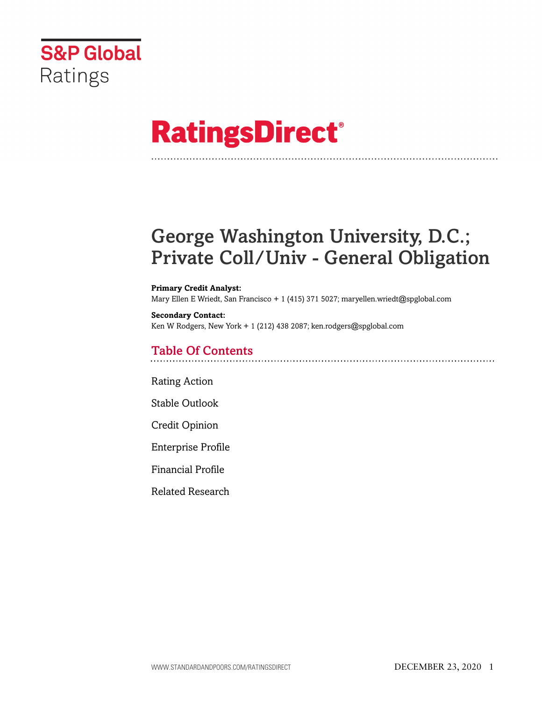

# **RatingsDirect®**

# George Washington University, D.C.; Private Coll/Univ - General Obligation

#### **Primary Credit Analyst:**

Mary Ellen E Wriedt, San Francisco + 1 (415) 371 5027; maryellen.wriedt@spglobal.com

# **Secondary Contact:**

Ken W Rodgers, New York + 1 (212) 438 2087; ken.rodgers@spglobal.com

# Table Of Contents

[Rating Action](#page-1-0)

[Stable Outlook](#page-3-0)

[Credit Opinion](#page-3-1)

[Enterprise Profile](#page-3-2)

[Financial Profile](#page-4-0)

[Related Research](#page-8-0)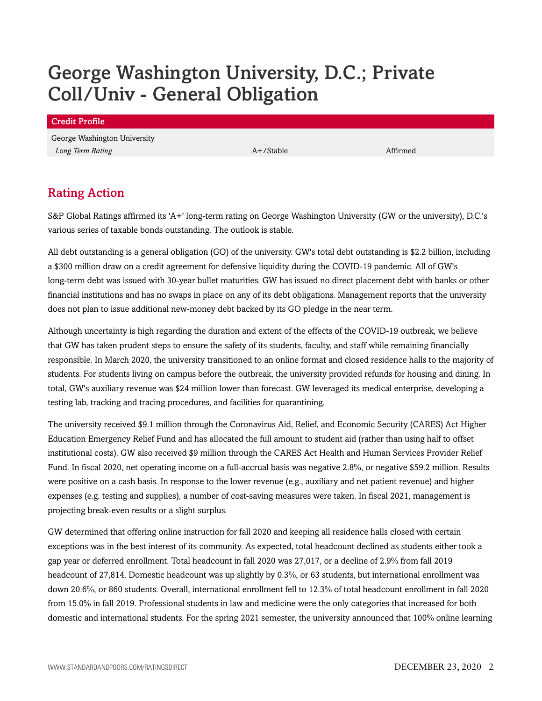# George Washington University, D.C.; Private Coll/Univ - General Obligation

# <span id="page-1-0"></span>Rating Action

S&P Global Ratings affirmed its 'A+' long-term rating on George Washington University (GW or the university), D.C.'s various series of taxable bonds outstanding. The outlook is stable.

All debt outstanding is a general obligation (GO) of the university. GW's total debt outstanding is \$2.2 billion, including a \$300 million draw on a credit agreement for defensive liquidity during the COVID-19 pandemic. All of GW's long-term debt was issued with 30-year bullet maturities. GW has issued no direct placement debt with banks or other financial institutions and has no swaps in place on any of its debt obligations. Management reports that the university does not plan to issue additional new-money debt backed by its GO pledge in the near term.

Although uncertainty is high regarding the duration and extent of the effects of the COVID-19 outbreak, we believe that GW has taken prudent steps to ensure the safety of its students, faculty, and staff while remaining financially responsible. In March 2020, the university transitioned to an online format and closed residence halls to the majority of students. For students living on campus before the outbreak, the university provided refunds for housing and dining. In total, GW's auxiliary revenue was \$24 million lower than forecast. GW leveraged its medical enterprise, developing a testing lab, tracking and tracing procedures, and facilities for quarantining.

The university received \$9.1 million through the Coronavirus Aid, Relief, and Economic Security (CARES) Act Higher Education Emergency Relief Fund and has allocated the full amount to student aid (rather than using half to offset institutional costs). GW also received \$9 million through the CARES Act Health and Human Services Provider Relief Fund. In fiscal 2020, net operating income on a full-accrual basis was negative 2.8%, or negative \$59.2 million. Results were positive on a cash basis. In response to the lower revenue (e.g., auxiliary and net patient revenue) and higher expenses (e.g. testing and supplies), a number of cost-saving measures were taken. In fiscal 2021, management is projecting break-even results or a slight surplus.

GW determined that offering online instruction for fall 2020 and keeping all residence halls closed with certain exceptions was in the best interest of its community. As expected, total headcount declined as students either took a gap year or deferred enrollment. Total headcount in fall 2020 was 27,017, or a decline of 2.9% from fall 2019 headcount of 27,814. Domestic headcount was up slightly by 0.3%, or 63 students, but international enrollment was down 20.6%, or 860 students. Overall, international enrollment fell to 12.3% of total headcount enrollment in fall 2020 from 15.0% in fall 2019. Professional students in law and medicine were the only categories that increased for both domestic and international students. For the spring 2021 semester, the university announced that 100% online learning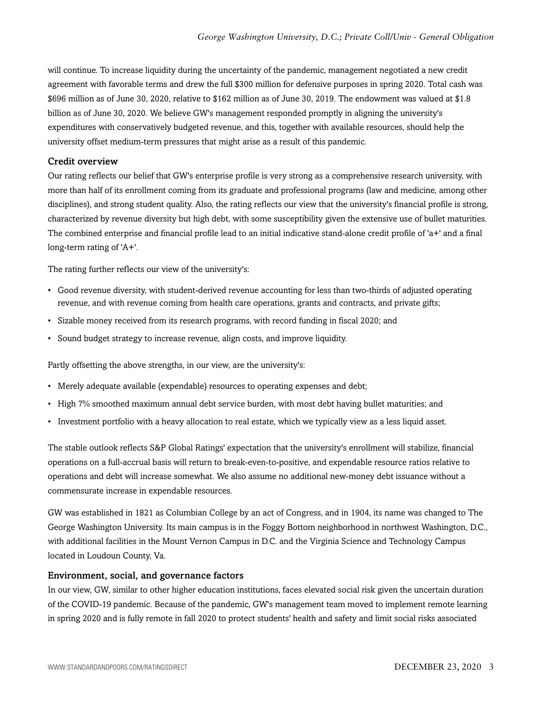will continue. To increase liquidity during the uncertainty of the pandemic, management negotiated a new credit agreement with favorable terms and drew the full \$300 million for defensive purposes in spring 2020. Total cash was \$696 million as of June 30, 2020, relative to \$162 million as of June 30, 2019. The endowment was valued at \$1.8 billion as of June 30, 2020. We believe GW's management responded promptly in aligning the university's expenditures with conservatively budgeted revenue, and this, together with available resources, should help the university offset medium-term pressures that might arise as a result of this pandemic.

## Credit overview

Our rating reflects our belief that GW's enterprise profile is very strong as a comprehensive research university, with more than half of its enrollment coming from its graduate and professional programs (law and medicine, among other disciplines), and strong student quality. Also, the rating reflects our view that the university's financial profile is strong, characterized by revenue diversity but high debt, with some susceptibility given the extensive use of bullet maturities. The combined enterprise and financial profile lead to an initial indicative stand-alone credit profile of 'a+' and a final long-term rating of 'A+'.

The rating further reflects our view of the university's:

- Good revenue diversity, with student-derived revenue accounting for less than two-thirds of adjusted operating revenue, and with revenue coming from health care operations, grants and contracts, and private gifts;
- Sizable money received from its research programs, with record funding in fiscal 2020; and
- Sound budget strategy to increase revenue, align costs, and improve liquidity.

Partly offsetting the above strengths, in our view, are the university's:

- Merely adequate available (expendable) resources to operating expenses and debt;
- High 7% smoothed maximum annual debt service burden, with most debt having bullet maturities; and
- Investment portfolio with a heavy allocation to real estate, which we typically view as a less liquid asset.

The stable outlook reflects S&P Global Ratings' expectation that the university's enrollment will stabilize, financial operations on a full-accrual basis will return to break-even-to-positive, and expendable resource ratios relative to operations and debt will increase somewhat. We also assume no additional new-money debt issuance without a commensurate increase in expendable resources.

GW was established in 1821 as Columbian College by an act of Congress, and in 1904, its name was changed to The George Washington University. Its main campus is in the Foggy Bottom neighborhood in northwest Washington, D.C., with additional facilities in the Mount Vernon Campus in D.C. and the Virginia Science and Technology Campus located in Loudoun County, Va.

### Environment, social, and governance factors

In our view, GW, similar to other higher education institutions, faces elevated social risk given the uncertain duration of the COVID-19 pandemic. Because of the pandemic, GW's management team moved to implement remote learning in spring 2020 and is fully remote in fall 2020 to protect students' health and safety and limit social risks associated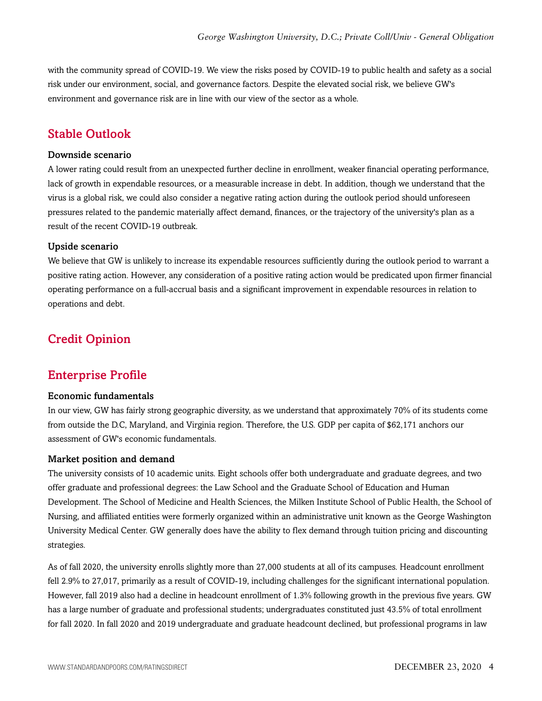with the community spread of COVID-19. We view the risks posed by COVID-19 to public health and safety as a social risk under our environment, social, and governance factors. Despite the elevated social risk, we believe GW's environment and governance risk are in line with our view of the sector as a whole.

# <span id="page-3-0"></span>Stable Outlook

#### Downside scenario

A lower rating could result from an unexpected further decline in enrollment, weaker financial operating performance, lack of growth in expendable resources, or a measurable increase in debt. In addition, though we understand that the virus is a global risk, we could also consider a negative rating action during the outlook period should unforeseen pressures related to the pandemic materially affect demand, finances, or the trajectory of the university's plan as a result of the recent COVID-19 outbreak.

### Upside scenario

We believe that GW is unlikely to increase its expendable resources sufficiently during the outlook period to warrant a positive rating action. However, any consideration of a positive rating action would be predicated upon firmer financial operating performance on a full-accrual basis and a significant improvement in expendable resources in relation to operations and debt.

# <span id="page-3-2"></span><span id="page-3-1"></span>Credit Opinion

# Enterprise Profile

# Economic fundamentals

In our view, GW has fairly strong geographic diversity, as we understand that approximately 70% of its students come from outside the D.C, Maryland, and Virginia region. Therefore, the U.S. GDP per capita of \$62,171 anchors our assessment of GW's economic fundamentals.

### Market position and demand

The university consists of 10 academic units. Eight schools offer both undergraduate and graduate degrees, and two offer graduate and professional degrees: the Law School and the Graduate School of Education and Human Development. The School of Medicine and Health Sciences, the Milken Institute School of Public Health, the School of Nursing, and affiliated entities were formerly organized within an administrative unit known as the George Washington University Medical Center. GW generally does have the ability to flex demand through tuition pricing and discounting strategies.

As of fall 2020, the university enrolls slightly more than 27,000 students at all of its campuses. Headcount enrollment fell 2.9% to 27,017, primarily as a result of COVID-19, including challenges for the significant international population. However, fall 2019 also had a decline in headcount enrollment of 1.3% following growth in the previous five years. GW has a large number of graduate and professional students; undergraduates constituted just 43.5% of total enrollment for fall 2020. In fall 2020 and 2019 undergraduate and graduate headcount declined, but professional programs in law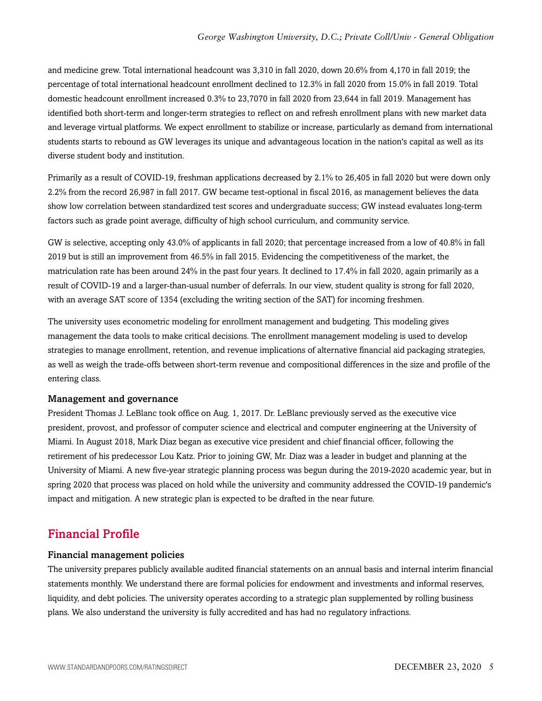and medicine grew. Total international headcount was 3,310 in fall 2020, down 20.6% from 4,170 in fall 2019; the percentage of total international headcount enrollment declined to 12.3% in fall 2020 from 15.0% in fall 2019. Total domestic headcount enrollment increased 0.3% to 23,7070 in fall 2020 from 23,644 in fall 2019. Management has identified both short-term and longer-term strategies to reflect on and refresh enrollment plans with new market data and leverage virtual platforms. We expect enrollment to stabilize or increase, particularly as demand from international students starts to rebound as GW leverages its unique and advantageous location in the nation's capital as well as its diverse student body and institution.

Primarily as a result of COVID-19, freshman applications decreased by 2.1% to 26,405 in fall 2020 but were down only 2.2% from the record 26,987 in fall 2017. GW became test-optional in fiscal 2016, as management believes the data show low correlation between standardized test scores and undergraduate success; GW instead evaluates long-term factors such as grade point average, difficulty of high school curriculum, and community service.

GW is selective, accepting only 43.0% of applicants in fall 2020; that percentage increased from a low of 40.8% in fall 2019 but is still an improvement from 46.5% in fall 2015. Evidencing the competitiveness of the market, the matriculation rate has been around 24% in the past four years. It declined to 17.4% in fall 2020, again primarily as a result of COVID-19 and a larger-than-usual number of deferrals. In our view, student quality is strong for fall 2020, with an average SAT score of 1354 (excluding the writing section of the SAT) for incoming freshmen.

The university uses econometric modeling for enrollment management and budgeting. This modeling gives management the data tools to make critical decisions. The enrollment management modeling is used to develop strategies to manage enrollment, retention, and revenue implications of alternative financial aid packaging strategies, as well as weigh the trade-offs between short-term revenue and compositional differences in the size and profile of the entering class.

# Management and governance

President Thomas J. LeBlanc took office on Aug. 1, 2017. Dr. LeBlanc previously served as the executive vice president, provost, and professor of computer science and electrical and computer engineering at the University of Miami. In August 2018, Mark Diaz began as executive vice president and chief financial officer, following the retirement of his predecessor Lou Katz. Prior to joining GW, Mr. Diaz was a leader in budget and planning at the University of Miami. A new five-year strategic planning process was begun during the 2019-2020 academic year, but in spring 2020 that process was placed on hold while the university and community addressed the COVID-19 pandemic's impact and mitigation. A new strategic plan is expected to be drafted in the near future.

# <span id="page-4-0"></span>Financial Profile

### Financial management policies

The university prepares publicly available audited financial statements on an annual basis and internal interim financial statements monthly. We understand there are formal policies for endowment and investments and informal reserves, liquidity, and debt policies. The university operates according to a strategic plan supplemented by rolling business plans. We also understand the university is fully accredited and has had no regulatory infractions.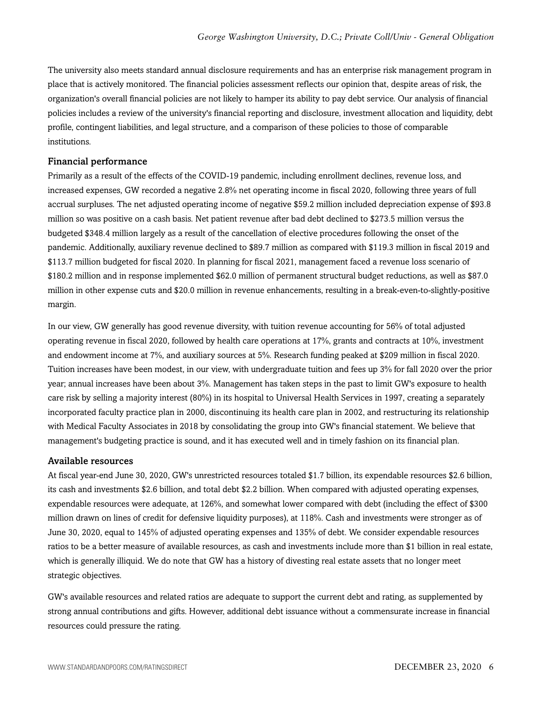The university also meets standard annual disclosure requirements and has an enterprise risk management program in place that is actively monitored. The financial policies assessment reflects our opinion that, despite areas of risk, the organization's overall financial policies are not likely to hamper its ability to pay debt service. Our analysis of financial policies includes a review of the university's financial reporting and disclosure, investment allocation and liquidity, debt profile, contingent liabilities, and legal structure, and a comparison of these policies to those of comparable institutions.

#### Financial performance

Primarily as a result of the effects of the COVID-19 pandemic, including enrollment declines, revenue loss, and increased expenses, GW recorded a negative 2.8% net operating income in fiscal 2020, following three years of full accrual surpluses. The net adjusted operating income of negative \$59.2 million included depreciation expense of \$93.8 million so was positive on a cash basis. Net patient revenue after bad debt declined to \$273.5 million versus the budgeted \$348.4 million largely as a result of the cancellation of elective procedures following the onset of the pandemic. Additionally, auxiliary revenue declined to \$89.7 million as compared with \$119.3 million in fiscal 2019 and \$113.7 million budgeted for fiscal 2020. In planning for fiscal 2021, management faced a revenue loss scenario of \$180.2 million and in response implemented \$62.0 million of permanent structural budget reductions, as well as \$87.0 million in other expense cuts and \$20.0 million in revenue enhancements, resulting in a break-even-to-slightly-positive margin.

In our view, GW generally has good revenue diversity, with tuition revenue accounting for 56% of total adjusted operating revenue in fiscal 2020, followed by health care operations at 17%, grants and contracts at 10%, investment and endowment income at 7%, and auxiliary sources at 5%. Research funding peaked at \$209 million in fiscal 2020. Tuition increases have been modest, in our view, with undergraduate tuition and fees up 3% for fall 2020 over the prior year; annual increases have been about 3%. Management has taken steps in the past to limit GW's exposure to health care risk by selling a majority interest (80%) in its hospital to Universal Health Services in 1997, creating a separately incorporated faculty practice plan in 2000, discontinuing its health care plan in 2002, and restructuring its relationship with Medical Faculty Associates in 2018 by consolidating the group into GW's financial statement. We believe that management's budgeting practice is sound, and it has executed well and in timely fashion on its financial plan.

#### Available resources

At fiscal year-end June 30, 2020, GW's unrestricted resources totaled \$1.7 billion, its expendable resources \$2.6 billion, its cash and investments \$2.6 billion, and total debt \$2.2 billion. When compared with adjusted operating expenses, expendable resources were adequate, at 126%, and somewhat lower compared with debt (including the effect of \$300 million drawn on lines of credit for defensive liquidity purposes), at 118%. Cash and investments were stronger as of June 30, 2020, equal to 145% of adjusted operating expenses and 135% of debt. We consider expendable resources ratios to be a better measure of available resources, as cash and investments include more than \$1 billion in real estate, which is generally illiquid. We do note that GW has a history of divesting real estate assets that no longer meet strategic objectives.

GW's available resources and related ratios are adequate to support the current debt and rating, as supplemented by strong annual contributions and gifts. However, additional debt issuance without a commensurate increase in financial resources could pressure the rating.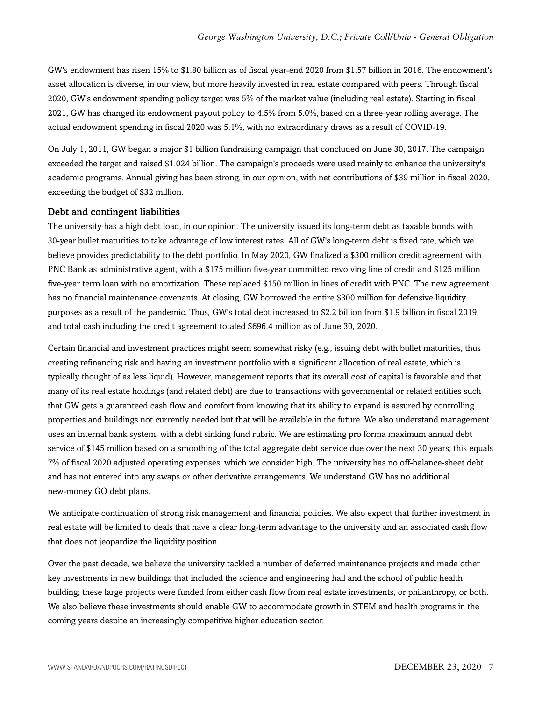GW's endowment has risen 15% to \$1.80 billion as of fiscal year-end 2020 from \$1.57 billion in 2016. The endowment's asset allocation is diverse, in our view, but more heavily invested in real estate compared with peers. Through fiscal 2020, GW's endowment spending policy target was 5% of the market value (including real estate). Starting in fiscal 2021, GW has changed its endowment payout policy to 4.5% from 5.0%, based on a three-year rolling average. The actual endowment spending in fiscal 2020 was 5.1%, with no extraordinary draws as a result of COVID-19.

On July 1, 2011, GW began a major \$1 billion fundraising campaign that concluded on June 30, 2017. The campaign exceeded the target and raised \$1.024 billion. The campaign's proceeds were used mainly to enhance the university's academic programs. Annual giving has been strong, in our opinion, with net contributions of \$39 million in fiscal 2020, exceeding the budget of \$32 million.

#### Debt and contingent liabilities

The university has a high debt load, in our opinion. The university issued its long-term debt as taxable bonds with 30-year bullet maturities to take advantage of low interest rates. All of GW's long-term debt is fixed rate, which we believe provides predictability to the debt portfolio. In May 2020, GW finalized a \$300 million credit agreement with PNC Bank as administrative agent, with a \$175 million five-year committed revolving line of credit and \$125 million five-year term loan with no amortization. These replaced \$150 million in lines of credit with PNC. The new agreement has no financial maintenance covenants. At closing, GW borrowed the entire \$300 million for defensive liquidity purposes as a result of the pandemic. Thus, GW's total debt increased to \$2.2 billion from \$1.9 billion in fiscal 2019, and total cash including the credit agreement totaled \$696.4 million as of June 30, 2020.

Certain financial and investment practices might seem somewhat risky (e.g., issuing debt with bullet maturities, thus creating refinancing risk and having an investment portfolio with a significant allocation of real estate, which is typically thought of as less liquid). However, management reports that its overall cost of capital is favorable and that many of its real estate holdings (and related debt) are due to transactions with governmental or related entities such that GW gets a guaranteed cash flow and comfort from knowing that its ability to expand is assured by controlling properties and buildings not currently needed but that will be available in the future. We also understand management uses an internal bank system, with a debt sinking fund rubric. We are estimating pro forma maximum annual debt service of \$145 million based on a smoothing of the total aggregate debt service due over the next 30 years; this equals 7% of fiscal 2020 adjusted operating expenses, which we consider high. The university has no off-balance-sheet debt and has not entered into any swaps or other derivative arrangements. We understand GW has no additional new-money GO debt plans.

We anticipate continuation of strong risk management and financial policies. We also expect that further investment in real estate will be limited to deals that have a clear long-term advantage to the university and an associated cash flow that does not jeopardize the liquidity position.

Over the past decade, we believe the university tackled a number of deferred maintenance projects and made other key investments in new buildings that included the science and engineering hall and the school of public health building; these large projects were funded from either cash flow from real estate investments, or philanthropy, or both. We also believe these investments should enable GW to accommodate growth in STEM and health programs in the coming years despite an increasingly competitive higher education sector.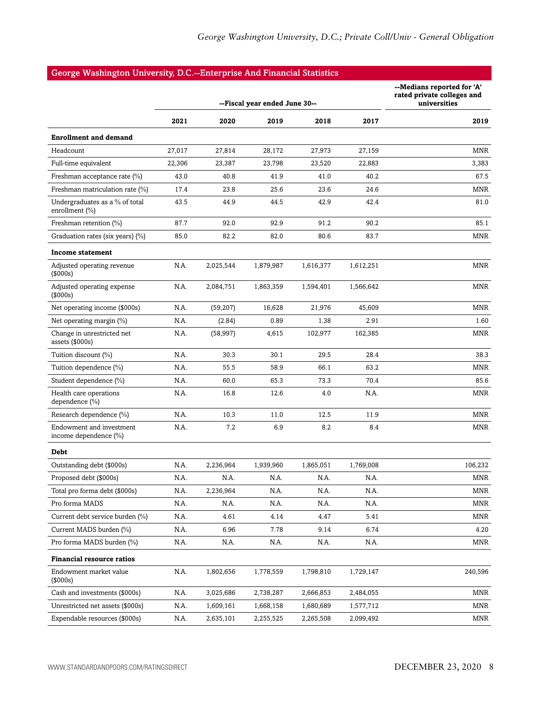# George Washington University, D.C.--Enterprise And Financial Statistics

|                                                   |        | --Fiscal year ended June 30-- | --Medians reported for 'A'<br>rated private colleges and<br>universities |           |           |            |
|---------------------------------------------------|--------|-------------------------------|--------------------------------------------------------------------------|-----------|-----------|------------|
|                                                   | 2021   | 2020                          | 2019                                                                     | 2018      | 2017      | 2019       |
| <b>Enrollment and demand</b>                      |        |                               |                                                                          |           |           |            |
| Headcount                                         | 27,017 | 27,814                        | 28,172                                                                   | 27,973    | 27,159    | MNR        |
| Full-time equivalent                              | 22,306 | 23,387                        | 23,798                                                                   | 23,520    | 22,883    | 3,383      |
| Freshman acceptance rate (%)                      | 43.0   | 40.8                          | 41.9                                                                     | 41.0      | 40.2      | 67.5       |
| Freshman matriculation rate (%)                   | 17.4   | 23.8                          | 25.6                                                                     | 23.6      | 24.6      | MNR        |
| Undergraduates as a % of total<br>enrollment (%)  | 43.5   | 44.9                          | 44.5                                                                     | 42.9      | 42.4      | 81.0       |
| Freshman retention (%)                            | 87.7   | 92.0                          | 92.9                                                                     | 91.2      | 90.2      | 85.1       |
| Graduation rates (six years) (%)                  | 85.0   | 82.2                          | 82.0                                                                     | 80.6      | 83.7      | MNR        |
| <b>Income statement</b>                           |        |                               |                                                                          |           |           |            |
| Adjusted operating revenue<br>$($ \$000s $)$      | N.A.   | 2,025,544                     | 1,879,987                                                                | 1,616,377 | 1,612,251 | MNR        |
| Adjusted operating expense<br>(\$000s)            | N.A.   | 2,084,751                     | 1,863,359                                                                | 1,594,401 | 1,566,642 | <b>MNR</b> |
| Net operating income (\$000s)                     | N.A.   | (59, 207)                     | 16,628                                                                   | 21,976    | 45,609    | <b>MNR</b> |
| Net operating margin (%)                          | N.A.   | (2.84)                        | 0.89                                                                     | 1.38      | 2.91      | 1.60       |
| Change in unrestricted net<br>assets (\$000s)     | N.A.   | (58, 997)                     | 4,615                                                                    | 102,977   | 162,385   | MNR        |
| Tuition discount (%)                              | N.A.   | 30.3                          | 30.1                                                                     | 29.5      | 28.4      | 38.3       |
| Tuition dependence (%)                            | N.A.   | 55.5                          | 58.9                                                                     | 66.1      | 63.2      | MNR        |
| Student dependence (%)                            | N.A.   | 60.0                          | 65.3                                                                     | 73.3      | 70.4      | 85.6       |
| Health care operations<br>dependence (%)          | N.A.   | 16.8                          | 12.6                                                                     | 4.0       | N.A.      | MNR        |
| Research dependence (%)                           | N.A.   | 10.3                          | 11.0                                                                     | 12.5      | 11.9      | MNR        |
| Endowment and investment<br>income dependence (%) | N.A.   | 7.2                           | 6.9                                                                      | 8.2       | 8.4       | <b>MNR</b> |
| Debt                                              |        |                               |                                                                          |           |           |            |
| Outstanding debt (\$000s)                         | N.A.   | 2,236,964                     | 1,939,960                                                                | 1,865,051 | 1,769,008 | 106,232    |
| Proposed debt (\$000s)                            | N.A.   | N.A.                          | N.A.                                                                     | N.A.      | N.A.      | MNR        |
| Total pro forma debt (\$000s)                     | N.A.   | 2,236,964                     | N.A.                                                                     | N.A.      | N.A.      | MNR        |
| Pro forma MADS                                    | N.A.   | N.A.                          | N.A.                                                                     | N.A.      | N.A.      | MNR        |
| Current debt service burden (%)                   | N.A.   | 4.61                          | 4.14                                                                     | 4.47      | 5.41      | MNR        |
| Current MADS burden (%)                           | N.A.   | 6.96                          | 7.78                                                                     | 9.14      | 6.74      | 4.20       |
| Pro forma MADS burden (%)                         | N.A.   | N.A.                          | N.A.                                                                     | N.A.      | N.A.      | MNR        |
| <b>Financial resource ratios</b>                  |        |                               |                                                                          |           |           |            |
| Endowment market value<br>(\$000s)                | N.A.   | 1,802,656                     | 1,778,559                                                                | 1,798,810 | 1,729,147 | 240,596    |
| Cash and investments (\$000s)                     | N.A.   | 3,025,686                     | 2,738,287                                                                | 2,666,853 | 2,484,055 | MNR        |
| Unrestricted net assets (\$000s)                  | N.A.   | 1,609,161                     | 1,668,158                                                                | 1,680,689 | 1,577,712 | MNR        |
| Expendable resources (\$000s)                     | N.A.   | 2,635,101                     | 2,255,525                                                                | 2,265,508 | 2,099,492 | MNR        |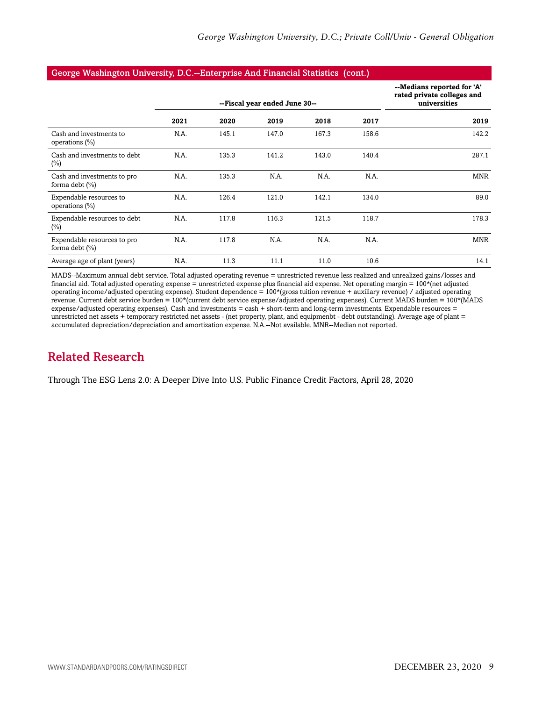#### George Washington University, D.C.--Enterprise And Financial Statistics (cont.)

|                                                  |      | --Fiscal year ended June 30-- | --Medians reported for 'A'<br>rated private colleges and<br>universities |       |       |            |
|--------------------------------------------------|------|-------------------------------|--------------------------------------------------------------------------|-------|-------|------------|
|                                                  | 2021 | 2020                          | 2019                                                                     | 2018  | 2017  | 2019       |
| Cash and investments to<br>operations $(\%)$     | N.A. | 145.1                         | 147.0                                                                    | 167.3 | 158.6 | 142.2      |
| Cash and investments to debt<br>$(\%)$           | N.A. | 135.3                         | 141.2                                                                    | 143.0 | 140.4 | 287.1      |
| Cash and investments to pro<br>forma debt $(\%)$ | N.A. | 135.3                         | N.A.                                                                     | N.A.  | N.A.  | <b>MNR</b> |
| Expendable resources to<br>operations $(\% )$    | N.A. | 126.4                         | 121.0                                                                    | 142.1 | 134.0 | 89.0       |
| Expendable resources to debt<br>$(\%)$           | N.A. | 117.8                         | 116.3                                                                    | 121.5 | 118.7 | 178.3      |
| Expendable resources to pro<br>forma debt $(\%)$ | N.A. | 117.8                         | N.A.                                                                     | N.A.  | N.A.  | <b>MNR</b> |
| Average age of plant (years)                     | N.A. | 11.3                          | 11.1                                                                     | 11.0  | 10.6  | 14.1       |

MADS--Maximum annual debt service. Total adjusted operating revenue = unrestricted revenue less realized and unrealized gains/losses and financial aid. Total adjusted operating expense = unrestricted expense plus financial aid expense. Net operating margin = 100\*(net adjusted operating income/adjusted operating expense). Student dependence = 100\*(gross tuition revenue + auxiliary revenue) / adjusted operating revenue. Current debt service burden = 100\*(current debt service expense/adjusted operating expenses). Current MADS burden = 100\*(MADS expense/adjusted operating expenses). Cash and investments = cash + short-term and long-term investments. Expendable resources = unrestricted net assets + temporary restricted net assets - (net property, plant, and equipmenbt - debt outstanding). Average age of plant = accumulated depreciation/depreciation and amortization expense. N.A.--Not available. MNR--Median not reported.

# <span id="page-8-0"></span>Related Research

Through The ESG Lens 2.0: A Deeper Dive Into U.S. Public Finance Credit Factors, April 28, 2020